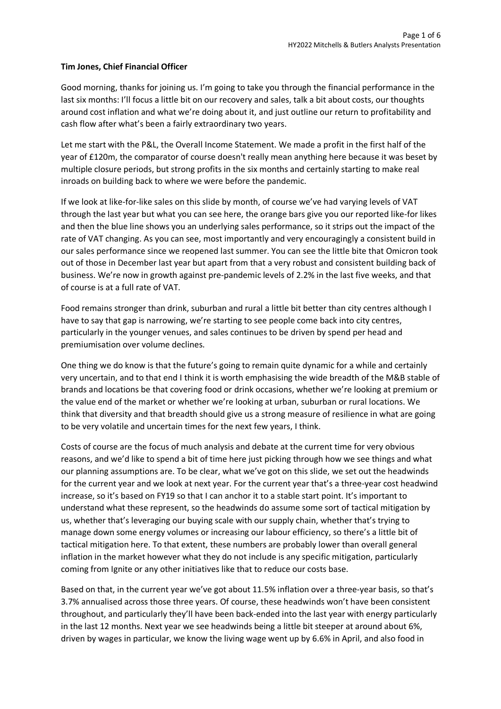## **Tim Jones, Chief Financial Officer**

Good morning, thanks for joining us. I'm going to take you through the financial performance in the last six months: I'll focus a little bit on our recovery and sales, talk a bit about costs, our thoughts around cost inflation and what we're doing about it, and just outline our return to profitability and cash flow after what's been a fairly extraordinary two years.

Let me start with the P&L, the Overall Income Statement. We made a profit in the first half of the year of £120m, the comparator of course doesn't really mean anything here because it was beset by multiple closure periods, but strong profits in the six months and certainly starting to make real inroads on building back to where we were before the pandemic.

If we look at like-for-like sales on this slide by month, of course we've had varying levels of VAT through the last year but what you can see here, the orange bars give you our reported like-for likes and then the blue line shows you an underlying sales performance, so it strips out the impact of the rate of VAT changing. As you can see, most importantly and very encouragingly a consistent build in our sales performance since we reopened last summer. You can see the little bite that Omicron took out of those in December last year but apart from that a very robust and consistent building back of business. We're now in growth against pre-pandemic levels of 2.2% in the last five weeks, and that of course is at a full rate of VAT.

Food remains stronger than drink, suburban and rural a little bit better than city centres although I have to say that gap is narrowing, we're starting to see people come back into city centres, particularly in the younger venues, and sales continues to be driven by spend per head and premiumisation over volume declines.

One thing we do know is that the future's going to remain quite dynamic for a while and certainly very uncertain, and to that end I think it is worth emphasising the wide breadth of the M&B stable of brands and locations be that covering food or drink occasions, whether we're looking at premium or the value end of the market or whether we're looking at urban, suburban or rural locations. We think that diversity and that breadth should give us a strong measure of resilience in what are going to be very volatile and uncertain times for the next few years, I think.

Costs of course are the focus of much analysis and debate at the current time for very obvious reasons, and we'd like to spend a bit of time here just picking through how we see things and what our planning assumptions are. To be clear, what we've got on this slide, we set out the headwinds for the current year and we look at next year. For the current year that's a three-year cost headwind increase, so it's based on FY19 so that I can anchor it to a stable start point. It's important to understand what these represent, so the headwinds do assume some sort of tactical mitigation by us, whether that's leveraging our buying scale with our supply chain, whether that's trying to manage down some energy volumes or increasing our labour efficiency, so there's a little bit of tactical mitigation here. To that extent, these numbers are probably lower than overall general inflation in the market however what they do not include is any specific mitigation, particularly coming from Ignite or any other initiatives like that to reduce our costs base.

Based on that, in the current year we've got about 11.5% inflation over a three-year basis, so that's 3.7% annualised across those three years. Of course, these headwinds won't have been consistent throughout, and particularly they'll have been back-ended into the last year with energy particularly in the last 12 months. Next year we see headwinds being a little bit steeper at around about 6%, driven by wages in particular, we know the living wage went up by 6.6% in April, and also food in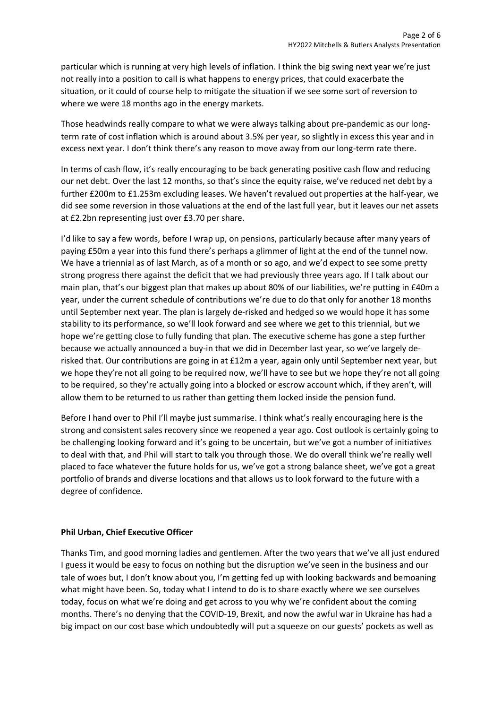particular which is running at very high levels of inflation. I think the big swing next year we're just not really into a position to call is what happens to energy prices, that could exacerbate the situation, or it could of course help to mitigate the situation if we see some sort of reversion to where we were 18 months ago in the energy markets.

Those headwinds really compare to what we were always talking about pre-pandemic as our longterm rate of cost inflation which is around about 3.5% per year, so slightly in excess this year and in excess next year. I don't think there's any reason to move away from our long-term rate there.

In terms of cash flow, it's really encouraging to be back generating positive cash flow and reducing our net debt. Over the last 12 months, so that's since the equity raise, we've reduced net debt by a further £200m to £1.253m excluding leases. We haven't revalued out properties at the half-year, we did see some reversion in those valuations at the end of the last full year, but it leaves our net assets at £2.2bn representing just over £3.70 per share.

I'd like to say a few words, before I wrap up, on pensions, particularly because after many years of paying £50m a year into this fund there's perhaps a glimmer of light at the end of the tunnel now. We have a triennial as of last March, as of a month or so ago, and we'd expect to see some pretty strong progress there against the deficit that we had previously three years ago. If I talk about our main plan, that's our biggest plan that makes up about 80% of our liabilities, we're putting in £40m a year, under the current schedule of contributions we're due to do that only for another 18 months until September next year. The plan is largely de-risked and hedged so we would hope it has some stability to its performance, so we'll look forward and see where we get to this triennial, but we hope we're getting close to fully funding that plan. The executive scheme has gone a step further because we actually announced a buy-in that we did in December last year, so we've largely derisked that. Our contributions are going in at £12m a year, again only until September next year, but we hope they're not all going to be required now, we'll have to see but we hope they're not all going to be required, so they're actually going into a blocked or escrow account which, if they aren't, will allow them to be returned to us rather than getting them locked inside the pension fund.

Before I hand over to Phil I'll maybe just summarise. I think what's really encouraging here is the strong and consistent sales recovery since we reopened a year ago. Cost outlook is certainly going to be challenging looking forward and it's going to be uncertain, but we've got a number of initiatives to deal with that, and Phil will start to talk you through those. We do overall think we're really well placed to face whatever the future holds for us, we've got a strong balance sheet, we've got a great portfolio of brands and diverse locations and that allows us to look forward to the future with a degree of confidence.

## **Phil Urban, Chief Executive Officer**

Thanks Tim, and good morning ladies and gentlemen. After the two years that we've all just endured I guess it would be easy to focus on nothing but the disruption we've seen in the business and our tale of woes but, I don't know about you, I'm getting fed up with looking backwards and bemoaning what might have been. So, today what I intend to do is to share exactly where we see ourselves today, focus on what we're doing and get across to you why we're confident about the coming months. There's no denying that the COVID-19, Brexit, and now the awful war in Ukraine has had a big impact on our cost base which undoubtedly will put a squeeze on our guests' pockets as well as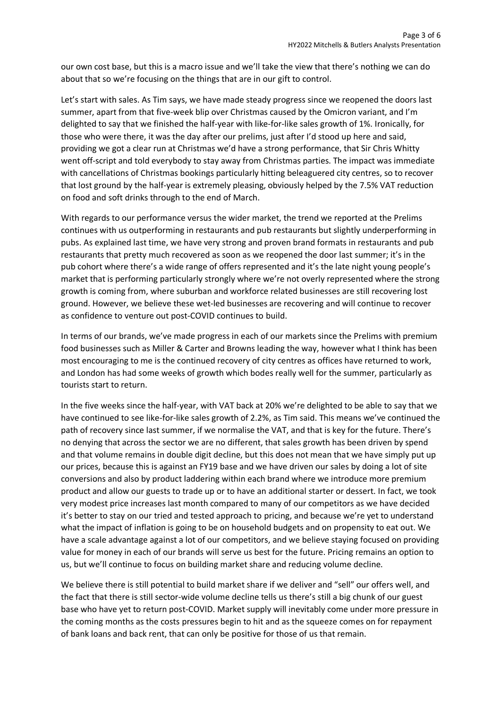our own cost base, but this is a macro issue and we'll take the view that there's nothing we can do about that so we're focusing on the things that are in our gift to control.

Let's start with sales. As Tim says, we have made steady progress since we reopened the doors last summer, apart from that five-week blip over Christmas caused by the Omicron variant, and I'm delighted to say that we finished the half-year with like-for-like sales growth of 1%. Ironically, for those who were there, it was the day after our prelims, just after I'd stood up here and said, providing we got a clear run at Christmas we'd have a strong performance, that Sir Chris Whitty went off-script and told everybody to stay away from Christmas parties. The impact was immediate with cancellations of Christmas bookings particularly hitting beleaguered city centres, so to recover that lost ground by the half-year is extremely pleasing, obviously helped by the 7.5% VAT reduction on food and soft drinks through to the end of March.

With regards to our performance versus the wider market, the trend we reported at the Prelims continues with us outperforming in restaurants and pub restaurants but slightly underperforming in pubs. As explained last time, we have very strong and proven brand formats in restaurants and pub restaurants that pretty much recovered as soon as we reopened the door last summer; it's in the pub cohort where there's a wide range of offers represented and it's the late night young people's market that is performing particularly strongly where we're not overly represented where the strong growth is coming from, where suburban and workforce related businesses are still recovering lost ground. However, we believe these wet-led businesses are recovering and will continue to recover as confidence to venture out post-COVID continues to build.

In terms of our brands, we've made progress in each of our markets since the Prelims with premium food businesses such as Miller & Carter and Browns leading the way, however what I think has been most encouraging to me is the continued recovery of city centres as offices have returned to work, and London has had some weeks of growth which bodes really well for the summer, particularly as tourists start to return.

In the five weeks since the half-year, with VAT back at 20% we're delighted to be able to say that we have continued to see like-for-like sales growth of 2.2%, as Tim said. This means we've continued the path of recovery since last summer, if we normalise the VAT, and that is key for the future. There's no denying that across the sector we are no different, that sales growth has been driven by spend and that volume remains in double digit decline, but this does not mean that we have simply put up our prices, because this is against an FY19 base and we have driven our sales by doing a lot of site conversions and also by product laddering within each brand where we introduce more premium product and allow our guests to trade up or to have an additional starter or dessert. In fact, we took very modest price increases last month compared to many of our competitors as we have decided it's better to stay on our tried and tested approach to pricing, and because we're yet to understand what the impact of inflation is going to be on household budgets and on propensity to eat out. We have a scale advantage against a lot of our competitors, and we believe staying focused on providing value for money in each of our brands will serve us best for the future. Pricing remains an option to us, but we'll continue to focus on building market share and reducing volume decline.

We believe there is still potential to build market share if we deliver and "sell" our offers well, and the fact that there is still sector-wide volume decline tells us there's still a big chunk of our guest base who have yet to return post-COVID. Market supply will inevitably come under more pressure in the coming months as the costs pressures begin to hit and as the squeeze comes on for repayment of bank loans and back rent, that can only be positive for those of us that remain.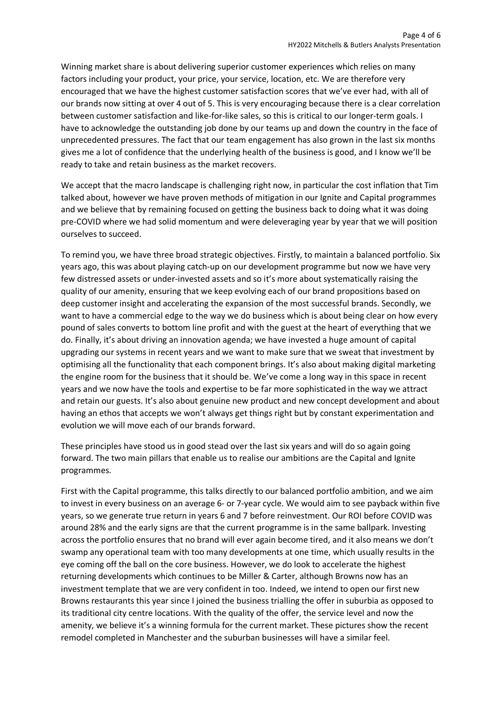Winning market share is about delivering superior customer experiences which relies on many factors including your product, your price, your service, location, etc. We are therefore very encouraged that we have the highest customer satisfaction scores that we've ever had, with all of our brands now sitting at over 4 out of 5. This is very encouraging because there is a clear correlation between customer satisfaction and like-for-like sales, so this is critical to our longer-term goals. I have to acknowledge the outstanding job done by our teams up and down the country in the face of unprecedented pressures. The fact that our team engagement has also grown in the last six months gives me a lot of confidence that the underlying health of the business is good, and I know we'll be ready to take and retain business as the market recovers.

We accept that the macro landscape is challenging right now, in particular the cost inflation that Tim talked about, however we have proven methods of mitigation in our Ignite and Capital programmes and we believe that by remaining focused on getting the business back to doing what it was doing pre-COVID where we had solid momentum and were deleveraging year by year that we will position ourselves to succeed.

To remind you, we have three broad strategic objectives. Firstly, to maintain a balanced portfolio. Six years ago, this was about playing catch-up on our development programme but now we have very few distressed assets or under-invested assets and so it's more about systematically raising the quality of our amenity, ensuring that we keep evolving each of our brand propositions based on deep customer insight and accelerating the expansion of the most successful brands. Secondly, we want to have a commercial edge to the way we do business which is about being clear on how every pound of sales converts to bottom line profit and with the guest at the heart of everything that we do. Finally, it's about driving an innovation agenda; we have invested a huge amount of capital upgrading our systems in recent years and we want to make sure that we sweat that investment by optimising all the functionality that each component brings. It's also about making digital marketing the engine room for the business that it should be. We've come a long way in this space in recent years and we now have the tools and expertise to be far more sophisticated in the way we attract and retain our guests. It's also about genuine new product and new concept development and about having an ethos that accepts we won't always get things right but by constant experimentation and evolution we will move each of our brands forward.

These principles have stood us in good stead over the last six years and will do so again going forward. The two main pillars that enable us to realise our ambitions are the Capital and Ignite programmes.

First with the Capital programme, this talks directly to our balanced portfolio ambition, and we aim to invest in every business on an average 6- or 7-year cycle. We would aim to see payback within five years, so we generate true return in years 6 and 7 before reinvestment. Our ROI before COVID was around 28% and the early signs are that the current programme is in the same ballpark. Investing across the portfolio ensures that no brand will ever again become tired, and it also means we don't swamp any operational team with too many developments at one time, which usually results in the eye coming off the ball on the core business. However, we do look to accelerate the highest returning developments which continues to be Miller & Carter, although Browns now has an investment template that we are very confident in too. Indeed, we intend to open our first new Browns restaurants this year since I joined the business trialling the offer in suburbia as opposed to its traditional city centre locations. With the quality of the offer, the service level and now the amenity, we believe it's a winning formula for the current market. These pictures show the recent remodel completed in Manchester and the suburban businesses will have a similar feel.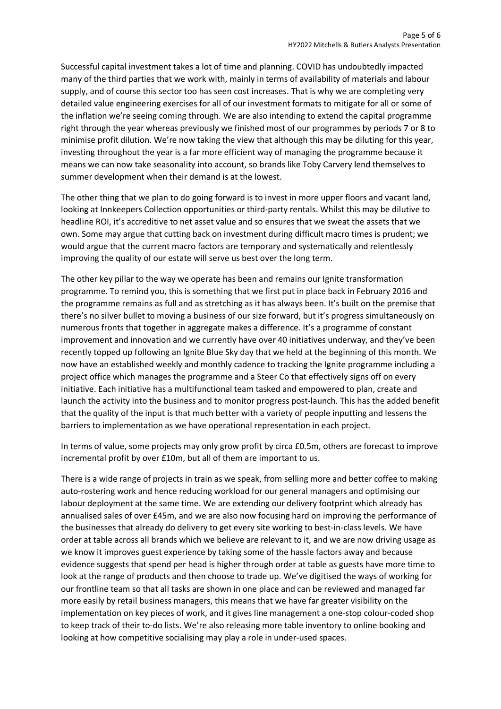Successful capital investment takes a lot of time and planning. COVID has undoubtedly impacted many of the third parties that we work with, mainly in terms of availability of materials and labour supply, and of course this sector too has seen cost increases. That is why we are completing very detailed value engineering exercises for all of our investment formats to mitigate for all or some of the inflation we're seeing coming through. We are also intending to extend the capital programme right through the year whereas previously we finished most of our programmes by periods 7 or 8 to minimise profit dilution. We're now taking the view that although this may be diluting for this year, investing throughout the year is a far more efficient way of managing the programme because it means we can now take seasonality into account, so brands like Toby Carvery lend themselves to summer development when their demand is at the lowest.

The other thing that we plan to do going forward is to invest in more upper floors and vacant land, looking at Innkeepers Collection opportunities or third-party rentals. Whilst this may be dilutive to headline ROI, it's accreditive to net asset value and so ensures that we sweat the assets that we own. Some may argue that cutting back on investment during difficult macro times is prudent; we would argue that the current macro factors are temporary and systematically and relentlessly improving the quality of our estate will serve us best over the long term.

The other key pillar to the way we operate has been and remains our Ignite transformation programme. To remind you, this is something that we first put in place back in February 2016 and the programme remains as full and as stretching as it has always been. It's built on the premise that there's no silver bullet to moving a business of our size forward, but it's progress simultaneously on numerous fronts that together in aggregate makes a difference. It's a programme of constant improvement and innovation and we currently have over 40 initiatives underway, and they've been recently topped up following an Ignite Blue Sky day that we held at the beginning of this month. We now have an established weekly and monthly cadence to tracking the Ignite programme including a project office which manages the programme and a Steer Co that effectively signs off on every initiative. Each initiative has a multifunctional team tasked and empowered to plan, create and launch the activity into the business and to monitor progress post-launch. This has the added benefit that the quality of the input is that much better with a variety of people inputting and lessens the barriers to implementation as we have operational representation in each project.

In terms of value, some projects may only grow profit by circa £0.5m, others are forecast to improve incremental profit by over £10m, but all of them are important to us.

There is a wide range of projects in train as we speak, from selling more and better coffee to making auto-rostering work and hence reducing workload for our general managers and optimising our labour deployment at the same time. We are extending our delivery footprint which already has annualised sales of over £45m, and we are also now focusing hard on improving the performance of the businesses that already do delivery to get every site working to best-in-class levels. We have order at table across all brands which we believe are relevant to it, and we are now driving usage as we know it improves guest experience by taking some of the hassle factors away and because evidence suggests that spend per head is higher through order at table as guests have more time to look at the range of products and then choose to trade up. We've digitised the ways of working for our frontline team so that all tasks are shown in one place and can be reviewed and managed far more easily by retail business managers, this means that we have far greater visibility on the implementation on key pieces of work, and it gives line management a one-stop colour-coded shop to keep track of their to-do lists. We're also releasing more table inventory to online booking and looking at how competitive socialising may play a role in under-used spaces.